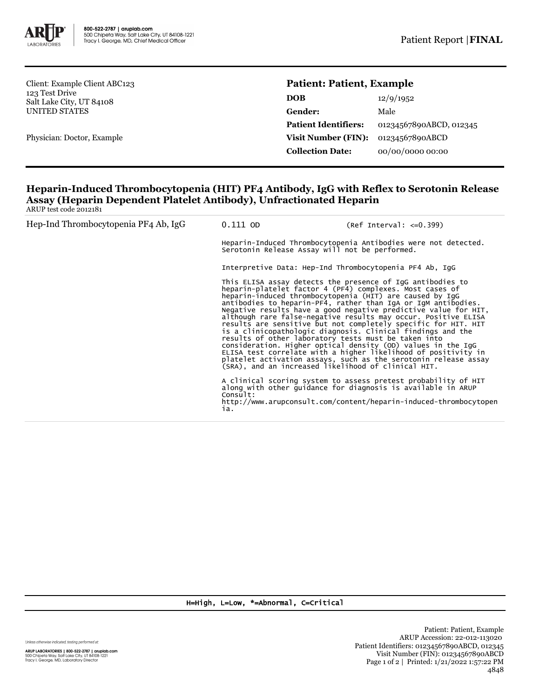

Client: Example Client ABC123 123 Test Drive Salt Lake City, UT 84108 UNITED STATES

Physician: Doctor, Example

## **Patient: Patient, Example**

| <b>DOB</b>                  | 12/9/1952               |
|-----------------------------|-------------------------|
| Gender:                     | Male                    |
| <b>Patient Identifiers:</b> | 01234567890ABCD, 012345 |
| <b>Visit Number (FIN):</b>  | 01234567890ABCD         |
| <b>Collection Date:</b>     | 00/00/0000 00:00        |
|                             |                         |

## **Heparin-Induced Thrombocytopenia (HIT) PF4 Antibody, IgG with Reflex to Serotonin Release Assay (Heparin Dependent Platelet Antibody), Unfractionated Heparin** ARUP test code 2012181

| Hep-Ind Thrombocytopenia PF4 Ab, IgG | $0.111$ OD                                                                                                                                                                                                                                                                                        | $(Ref Interval: <=0.399)$                                                                                                                                                                                                                                                                                                                                                                                                                                                                                                                |  |
|--------------------------------------|---------------------------------------------------------------------------------------------------------------------------------------------------------------------------------------------------------------------------------------------------------------------------------------------------|------------------------------------------------------------------------------------------------------------------------------------------------------------------------------------------------------------------------------------------------------------------------------------------------------------------------------------------------------------------------------------------------------------------------------------------------------------------------------------------------------------------------------------------|--|
|                                      | Heparin-Induced Thrombocytopenia Antibodies were not detected.<br>Serotonin Release Assay will not be performed.                                                                                                                                                                                  |                                                                                                                                                                                                                                                                                                                                                                                                                                                                                                                                          |  |
|                                      | Interpretive Data: Hep-Ind Thrombocytopenia PF4 Ab, IgG                                                                                                                                                                                                                                           |                                                                                                                                                                                                                                                                                                                                                                                                                                                                                                                                          |  |
|                                      | This ELISA assay detects the presence of IgG antibodies to<br>heparin-platelet factor 4 (PF4) complexes. Most cases of<br>heparin-induced thrombocytopenia (HIT) are caused by IqG<br>results of other laboratory tests must be taken into<br>(SRA), and an increased likelihood of clinical HIT. | antibodies to heparin-PF4, rather than IqA or IqM antibodies.<br>Negative results have a good negative predictive value for HIT,<br>although rare false-negative results may occur. Positive ELISA<br>results are sensitive but not completely specific for HIT. HIT<br>is a clinicopathologic diagnosis. Clinical findings and the<br>consideration. Higher optical density (OD) values in the IgG<br>ELISA test correlate with a higher likelihood of positivity in<br>platelet activation assays, such as the serotonin release assay |  |
|                                      | Consuit:<br>ia.                                                                                                                                                                                                                                                                                   | A clinical scoring system to assess pretest probability of HIT<br>along with other quidance for diagnosis is available in ARUP<br>http://www.arupconsult.com/content/heparin-induced-thrombocytopen                                                                                                                                                                                                                                                                                                                                      |  |

## H=High, L=Low, \*=Abnormal, C=Critical

Unless otherwise indicated, testing performed at:

**ARUP LABORATORIES | 800-522-2787 | aruplab.com**<br>500 Chipeta Way, Salt Lake City, UT 84108-1221<br>Tracy I. George, MD, Laboratory Director